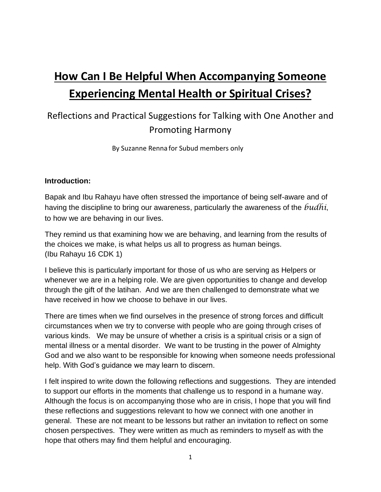# **How Can I Be Helpful When Accompanying Someone Experiencing Mental Health or Spiritual Crises?**

## Reflections and Practical Suggestions for Talking with One Another and Promoting Harmony

By Suzanne Renna for Subud members only

#### **Introduction:**

Bapak and Ibu Rahayu have often stressed the importance of being self-aware and of having the discipline to bring our awareness, particularly the awareness of the *budhi*, to how we are behaving in our lives.

They remind us that examining how we are behaving, and learning from the results of the choices we make, is what helps us all to progress as human beings. (Ibu Rahayu 16 CDK 1)

I believe this is particularly important for those of us who are serving as Helpers or whenever we are in a helping role. We are given opportunities to change and develop through the gift of the latihan. And we are then challenged to demonstrate what we have received in how we choose to behave in our lives.

There are times when we find ourselves in the presence of strong forces and difficult circumstances when we try to converse with people who are going through crises of various kinds. We may be unsure of whether a crisis is a spiritual crisis or a sign of mental illness or a mental disorder. We want to be trusting in the power of Almighty God and we also want to be responsible for knowing when someone needs professional help. With God's guidance we may learn to discern.

I felt inspired to write down the following reflections and suggestions. They are intended to support our efforts in the moments that challenge us to respond in a humane way. Although the focus is on accompanying those who are in crisis, I hope that you will find these reflections and suggestions relevant to how we connect with one another in general. These are not meant to be lessons but rather an invitation to reflect on some chosen perspectives. They were written as much as reminders to myself as with the hope that others may find them helpful and encouraging.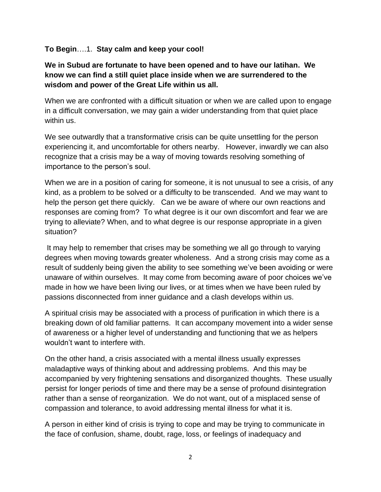#### **To Begin**….1. **Stay calm and keep your cool!**

#### **We in Subud are fortunate to have been opened and to have our latihan. We know we can find a still quiet place inside when we are surrendered to the wisdom and power of the Great Life within us all.**

When we are confronted with a difficult situation or when we are called upon to engage in a difficult conversation, we may gain a wider understanding from that quiet place within us.

We see outwardly that a transformative crisis can be quite unsettling for the person experiencing it, and uncomfortable for others nearby. However, inwardly we can also recognize that a crisis may be a way of moving towards resolving something of importance to the person's soul.

When we are in a position of caring for someone, it is not unusual to see a crisis, of any kind, as a problem to be solved or a difficulty to be transcended. And we may want to help the person get there quickly. Can we be aware of where our own reactions and responses are coming from? To what degree is it our own discomfort and fear we are trying to alleviate? When, and to what degree is our response appropriate in a given situation?

It may help to remember that crises may be something we all go through to varying degrees when moving towards greater wholeness. And a strong crisis may come as a result of suddenly being given the ability to see something we've been avoiding or were unaware of within ourselves. It may come from becoming aware of poor choices we've made in how we have been living our lives, or at times when we have been ruled by passions disconnected from inner guidance and a clash develops within us.

A spiritual crisis may be associated with a process of purification in which there is a breaking down of old familiar patterns. It can accompany movement into a wider sense of awareness or a higher level of understanding and functioning that we as helpers wouldn't want to interfere with.

On the other hand, a crisis associated with a mental illness usually expresses maladaptive ways of thinking about and addressing problems. And this may be accompanied by very frightening sensations and disorganized thoughts. These usually persist for longer periods of time and there may be a sense of profound disintegration rather than a sense of reorganization. We do not want, out of a misplaced sense of compassion and tolerance, to avoid addressing mental illness for what it is.

A person in either kind of crisis is trying to cope and may be trying to communicate in the face of confusion, shame, doubt, rage, loss, or feelings of inadequacy and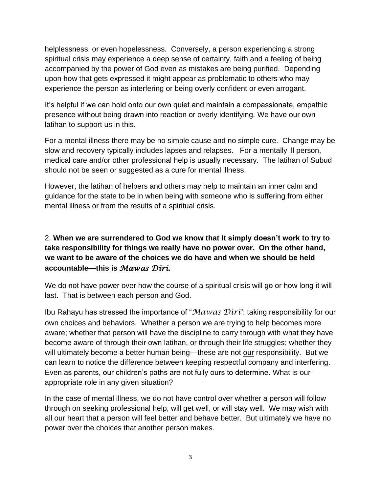helplessness, or even hopelessness. Conversely, a person experiencing a strong spiritual crisis may experience a deep sense of certainty, faith and a feeling of being accompanied by the power of God even as mistakes are being purified. Depending upon how that gets expressed it might appear as problematic to others who may experience the person as interfering or being overly confident or even arrogant.

It's helpful if we can hold onto our own quiet and maintain a compassionate, empathic presence without being drawn into reaction or overly identifying. We have our own latihan to support us in this.

For a mental illness there may be no simple cause and no simple cure. Change may be slow and recovery typically includes lapses and relapses. For a mentally ill person, medical care and/or other professional help is usually necessary. The latihan of Subud should not be seen or suggested as a cure for mental illness.

However, the latihan of helpers and others may help to maintain an inner calm and guidance for the state to be in when being with someone who is suffering from either mental illness or from the results of a spiritual crisis.

### 2. **When we are surrendered to God we know that It simply doesn't work to try to take responsibility for things we really have no power over. On the other hand, we want to be aware of the choices we do have and when we should be held accountable—this is** *Mawas Diri.*

We do not have power over how the course of a spiritual crisis will go or how long it will last. That is between each person and God.

Ibu Rahayu has stressed the importance of "*Mawas Diri*": taking responsibility for our own choices and behaviors. Whether a person we are trying to help becomes more aware; whether that person will have the discipline to carry through with what they have become aware of through their own latihan, or through their life struggles; whether they will ultimately become a better human being—these are not our responsibility. But we can learn to notice the difference between keeping respectful company and interfering. Even as parents, our children's paths are not fully ours to determine. What is our appropriate role in any given situation?

In the case of mental illness, we do not have control over whether a person will follow through on seeking professional help, will get well, or will stay well. We may wish with all our heart that a person will feel better and behave better. But ultimately we have no power over the choices that another person makes.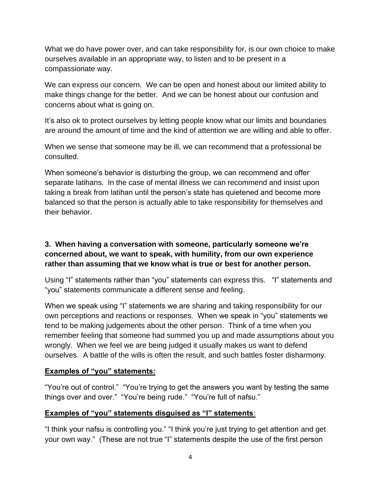What we do have power over, and can take responsibility for, is our own choice to make ourselves available in an appropriate way, to listen and to be present in a compassionate way.

We can express our concern. We can be open and honest about our limited ability to make things change for the better. And we can be honest about our confusion and concerns about what is going on.

It's also ok to protect ourselves by letting people know what our limits and boundaries are around the amount of time and the kind of attention we are willing and able to offer.

When we sense that someone may be ill, we can recommend that a professional be consulted.

When someone's behavior is disturbing the group, we can recommend and offer separate latihans. In the case of mental illness we can recommend and insist upon taking a break from latihan until the person's state has quietened and become more balanced so that the person is actually able to take responsibility for themselves and their behavior.

#### **3. When having a conversation with someone, particularly someone we're concerned about, we want to speak, with humility, from our own experience rather than assuming that we know what is true or best for another person.**

Using "I" statements rather than "you" statements can express this. "I" statements and "you" statements communicate a different sense and feeling.

When we speak using "I" statements we are sharing and taking responsibility for our own perceptions and reactions or responses. When we speak in "you" statements we tend to be making judgements about the other person. Think of a time when you remember feeling that someone had summed you up and made assumptions about you wrongly. When we feel we are being judged it usually makes us want to defend ourselves. A battle of the wills is often the result, and such battles foster disharmony.

#### **Examples of "you" statements:**

"You're out of control." "You're trying to get the answers you want by testing the same things over and over." "You're being rude." "You're full of nafsu."

#### **Examples of "you" statements disguised as "I" statements**:

"I think your nafsu is controlling you." "I think you're just trying to get attention and get your own way." (These are not true "I" statements despite the use of the first person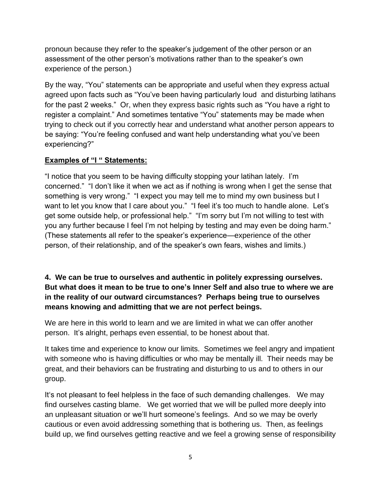pronoun because they refer to the speaker's judgement of the other person or an assessment of the other person's motivations rather than to the speaker's own experience of the person.)

By the way, "You" statements can be appropriate and useful when they express actual agreed upon facts such as "You've been having particularly loud and disturbing latihans for the past 2 weeks." Or, when they express basic rights such as "You have a right to register a complaint." And sometimes tentative "You" statements may be made when trying to check out if you correctly hear and understand what another person appears to be saying: "You're feeling confused and want help understanding what you've been experiencing?"

#### **Examples of "I " Statements:**

"I notice that you seem to be having difficulty stopping your latihan lately. I'm concerned." "I don't like it when we act as if nothing is wrong when I get the sense that something is very wrong." "I expect you may tell me to mind my own business but I want to let you know that I care about you." "I feel it's too much to handle alone. Let's get some outside help, or professional help." "I'm sorry but I'm not willing to test with you any further because I feel I'm not helping by testing and may even be doing harm." (These statements all refer to the speaker's experience—experience of the other person, of their relationship, and of the speaker's own fears, wishes and limits.)

#### **4. We can be true to ourselves and authentic in politely expressing ourselves. But what does it mean to be true to one's Inner Self and also true to where we are in the reality of our outward circumstances? Perhaps being true to ourselves means knowing and admitting that we are not perfect beings.**

We are here in this world to learn and we are limited in what we can offer another person. It's alright, perhaps even essential, to be honest about that.

It takes time and experience to know our limits. Sometimes we feel angry and impatient with someone who is having difficulties or who may be mentally ill. Their needs may be great, and their behaviors can be frustrating and disturbing to us and to others in our group.

It's not pleasant to feel helpless in the face of such demanding challenges. We may find ourselves casting blame. We get worried that we will be pulled more deeply into an unpleasant situation or we'll hurt someone's feelings. And so we may be overly cautious or even avoid addressing something that is bothering us. Then, as feelings build up, we find ourselves getting reactive and we feel a growing sense of responsibility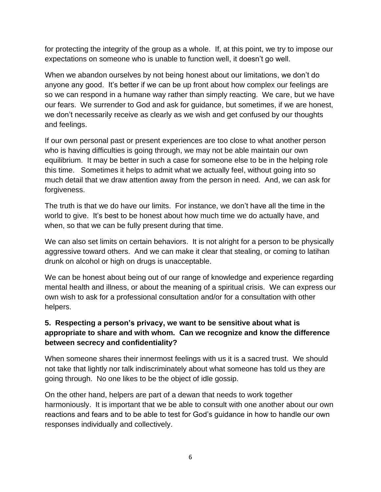for protecting the integrity of the group as a whole. If, at this point, we try to impose our expectations on someone who is unable to function well, it doesn't go well.

When we abandon ourselves by not being honest about our limitations, we don't do anyone any good. It's better if we can be up front about how complex our feelings are so we can respond in a humane way rather than simply reacting. We care, but we have our fears. We surrender to God and ask for guidance, but sometimes, if we are honest, we don't necessarily receive as clearly as we wish and get confused by our thoughts and feelings.

If our own personal past or present experiences are too close to what another person who is having difficulties is going through, we may not be able maintain our own equilibrium. It may be better in such a case for someone else to be in the helping role this time. Sometimes it helps to admit what we actually feel, without going into so much detail that we draw attention away from the person in need. And, we can ask for forgiveness.

The truth is that we do have our limits. For instance, we don't have all the time in the world to give. It's best to be honest about how much time we do actually have, and when, so that we can be fully present during that time.

We can also set limits on certain behaviors. It is not alright for a person to be physically aggressive toward others. And we can make it clear that stealing, or coming to latihan drunk on alcohol or high on drugs is unacceptable.

We can be honest about being out of our range of knowledge and experience regarding mental health and illness, or about the meaning of a spiritual crisis. We can express our own wish to ask for a professional consultation and/or for a consultation with other helpers.

#### **5. Respecting a person's privacy, we want to be sensitive about what is appropriate to share and with whom. Can we recognize and know the difference between secrecy and confidentiality?**

When someone shares their innermost feelings with us it is a sacred trust. We should not take that lightly nor talk indiscriminately about what someone has told us they are going through. No one likes to be the object of idle gossip.

On the other hand, helpers are part of a dewan that needs to work together harmoniously. It is important that we be able to consult with one another about our own reactions and fears and to be able to test for God's guidance in how to handle our own responses individually and collectively.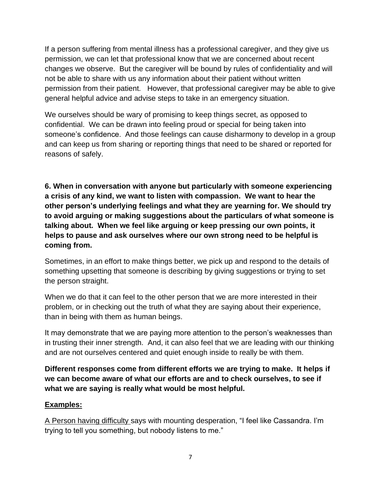If a person suffering from mental illness has a professional caregiver, and they give us permission, we can let that professional know that we are concerned about recent changes we observe. But the caregiver will be bound by rules of confidentiality and will not be able to share with us any information about their patient without written permission from their patient. However, that professional caregiver may be able to give general helpful advice and advise steps to take in an emergency situation.

We ourselves should be wary of promising to keep things secret, as opposed to confidential. We can be drawn into feeling proud or special for being taken into someone's confidence. And those feelings can cause disharmony to develop in a group and can keep us from sharing or reporting things that need to be shared or reported for reasons of safely.

**6. When in conversation with anyone but particularly with someone experiencing a crisis of any kind, we want to listen with compassion. We want to hear the other person's underlying feelings and what they are yearning for. We should try to avoid arguing or making suggestions about the particulars of what someone is talking about. When we feel like arguing or keep pressing our own points, it helps to pause and ask ourselves where our own strong need to be helpful is coming from.**

Sometimes, in an effort to make things better, we pick up and respond to the details of something upsetting that someone is describing by giving suggestions or trying to set the person straight.

When we do that it can feel to the other person that we are more interested in their problem, or in checking out the truth of what they are saying about their experience, than in being with them as human beings.

It may demonstrate that we are paying more attention to the person's weaknesses than in trusting their inner strength. And, it can also feel that we are leading with our thinking and are not ourselves centered and quiet enough inside to really be with them.

**Different responses come from different efforts we are trying to make. It helps if we can become aware of what our efforts are and to check ourselves, to see if what we are saying is really what would be most helpful.** 

#### **Examples:**

A Person having difficulty says with mounting desperation, "I feel like Cassandra. I'm trying to tell you something, but nobody listens to me."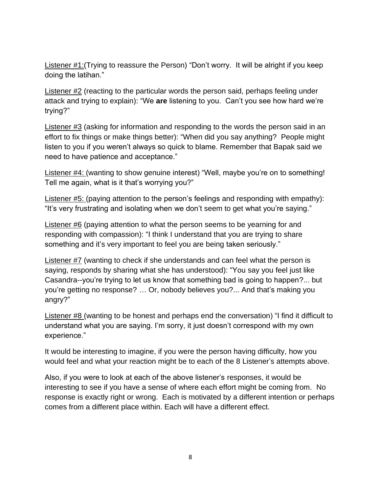Listener #1: (Trying to reassure the Person) "Don't worry. It will be alright if you keep doing the latihan."

Listener #2 (reacting to the particular words the person said, perhaps feeling under attack and trying to explain): "We **are** listening to you. Can't you see how hard we're trying?"

Listener #3 (asking for information and responding to the words the person said in an effort to fix things or make things better): "When did you say anything? People might listen to you if you weren't always so quick to blame. Remember that Bapak said we need to have patience and acceptance."

Listener #4: (wanting to show genuine interest) "Well, maybe you're on to something! Tell me again, what is it that's worrying you?"

Listener #5: (paying attention to the person's feelings and responding with empathy): "It's very frustrating and isolating when we don't seem to get what you're saying."

Listener #6 (paying attention to what the person seems to be yearning for and responding with compassion): "I think I understand that you are trying to share something and it's very important to feel you are being taken seriously."

Listener #7 (wanting to check if she understands and can feel what the person is saying, responds by sharing what she has understood): "You say you feel just like Casandra--you're trying to let us know that something bad is going to happen?... but you're getting no response? … Or, nobody believes you?... And that's making you angry?"

Listener #8 (wanting to be honest and perhaps end the conversation) "I find it difficult to understand what you are saying. I'm sorry, it just doesn't correspond with my own experience."

It would be interesting to imagine, if you were the person having difficulty, how you would feel and what your reaction might be to each of the 8 Listener's attempts above.

Also, if you were to look at each of the above listener's responses, it would be interesting to see if you have a sense of where each effort might be coming from. No response is exactly right or wrong. Each is motivated by a different intention or perhaps comes from a different place within. Each will have a different effect.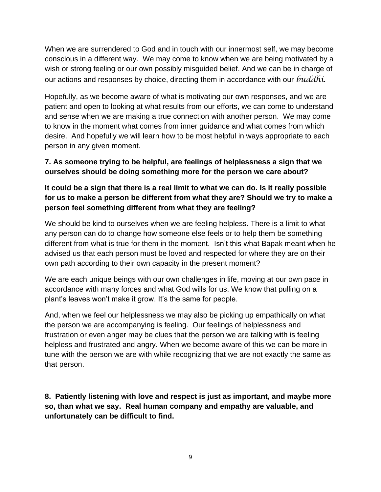When we are surrendered to God and in touch with our innermost self, we may become conscious in a different way. We may come to know when we are being motivated by a wish or strong feeling or our own possibly misguided belief. And we can be in charge of our actions and responses by choice, directing them in accordance with our *buddhi.*

Hopefully, as we become aware of what is motivating our own responses, and we are patient and open to looking at what results from our efforts, we can come to understand and sense when we are making a true connection with another person. We may come to know in the moment what comes from inner guidance and what comes from which desire. And hopefully we will learn how to be most helpful in ways appropriate to each person in any given moment.

#### **7. As someone trying to be helpful, are feelings of helplessness a sign that we ourselves should be doing something more for the person we care about?**

#### **It could be a sign that there is a real limit to what we can do. Is it really possible for us to make a person be different from what they are? Should we try to make a person feel something different from what they are feeling?**

We should be kind to ourselves when we are feeling helpless. There is a limit to what any person can do to change how someone else feels or to help them be something different from what is true for them in the moment. Isn't this what Bapak meant when he advised us that each person must be loved and respected for where they are on their own path according to their own capacity in the present moment?

We are each unique beings with our own challenges in life, moving at our own pace in accordance with many forces and what God wills for us. We know that pulling on a plant's leaves won't make it grow. It's the same for people.

And, when we feel our helplessness we may also be picking up empathically on what the person we are accompanying is feeling. Our feelings of helplessness and frustration or even anger may be clues that the person we are talking with is feeling helpless and frustrated and angry. When we become aware of this we can be more in tune with the person we are with while recognizing that we are not exactly the same as that person.

**8. Patiently listening with love and respect is just as important, and maybe more so, than what we say. Real human company and empathy are valuable, and unfortunately can be difficult to find.**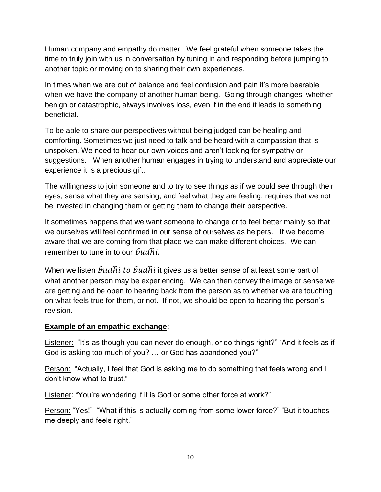Human company and empathy do matter. We feel grateful when someone takes the time to truly join with us in conversation by tuning in and responding before jumping to another topic or moving on to sharing their own experiences.

In times when we are out of balance and feel confusion and pain it's more bearable when we have the company of another human being. Going through changes, whether benign or catastrophic, always involves loss, even if in the end it leads to something beneficial.

To be able to share our perspectives without being judged can be healing and comforting. Sometimes we just need to talk and be heard with a compassion that is unspoken. We need to hear our own voices and aren't looking for sympathy or suggestions. When another human engages in trying to understand and appreciate our experience it is a precious gift.

The willingness to join someone and to try to see things as if we could see through their eyes, sense what they are sensing, and feel what they are feeling, requires that we not be invested in changing them or getting them to change their perspective.

It sometimes happens that we want someone to change or to feel better mainly so that we ourselves will feel confirmed in our sense of ourselves as helpers. If we become aware that we are coming from that place we can make different choices. We can remember to tune in to our *budhi.*

When we listen *budhi to budhi* it gives us a better sense of at least some part of what another person may be experiencing. We can then convey the image or sense we are getting and be open to hearing back from the person as to whether we are touching on what feels true for them, or not. If not, we should be open to hearing the person's revision.

#### **Example of an empathic exchange:**

Listener: "It's as though you can never do enough, or do things right?" "And it feels as if God is asking too much of you? … or God has abandoned you?"

Person: "Actually, I feel that God is asking me to do something that feels wrong and I don't know what to trust."

Listener: "You're wondering if it is God or some other force at work?"

Person: "Yes!" "What if this is actually coming from some lower force?" "But it touches me deeply and feels right."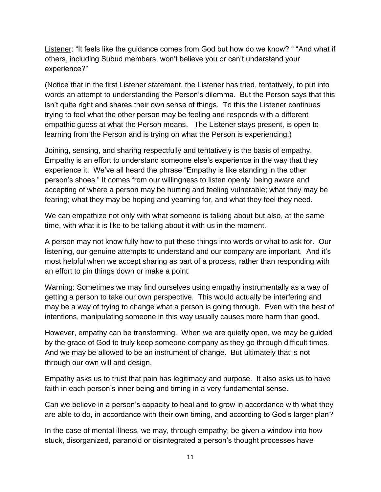Listener: "It feels like the guidance comes from God but how do we know? " "And what if others, including Subud members, won't believe you or can't understand your experience?"

(Notice that in the first Listener statement, the Listener has tried, tentatively, to put into words an attempt to understanding the Person's dilemma. But the Person says that this isn't quite right and shares their own sense of things. To this the Listener continues trying to feel what the other person may be feeling and responds with a different empathic guess at what the Person means. The Listener stays present, is open to learning from the Person and is trying on what the Person is experiencing.)

Joining, sensing, and sharing respectfully and tentatively is the basis of empathy. Empathy is an effort to understand someone else's experience in the way that they experience it. We've all heard the phrase "Empathy is like standing in the other person's shoes." It comes from our willingness to listen openly, being aware and accepting of where a person may be hurting and feeling vulnerable; what they may be fearing; what they may be hoping and yearning for, and what they feel they need.

We can empathize not only with what someone is talking about but also, at the same time, with what it is like to be talking about it with us in the moment.

A person may not know fully how to put these things into words or what to ask for. Our listening, our genuine attempts to understand and our company are important. And it's most helpful when we accept sharing as part of a process, rather than responding with an effort to pin things down or make a point.

Warning: Sometimes we may find ourselves using empathy instrumentally as a way of getting a person to take our own perspective. This would actually be interfering and may be a way of trying to change what a person is going through. Even with the best of intentions, manipulating someone in this way usually causes more harm than good.

However, empathy can be transforming. When we are quietly open, we may be guided by the grace of God to truly keep someone company as they go through difficult times. And we may be allowed to be an instrument of change. But ultimately that is not through our own will and design.

Empathy asks us to trust that pain has legitimacy and purpose. It also asks us to have faith in each person's inner being and timing in a very fundamental sense.

Can we believe in a person's capacity to heal and to grow in accordance with what they are able to do, in accordance with their own timing, and according to God's larger plan?

In the case of mental illness, we may, through empathy, be given a window into how stuck, disorganized, paranoid or disintegrated a person's thought processes have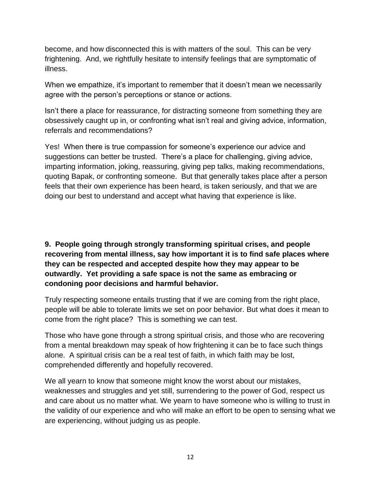become, and how disconnected this is with matters of the soul. This can be very frightening. And, we rightfully hesitate to intensify feelings that are symptomatic of illness.

When we empathize, it's important to remember that it doesn't mean we necessarily agree with the person's perceptions or stance or actions.

Isn't there a place for reassurance, for distracting someone from something they are obsessively caught up in, or confronting what isn't real and giving advice, information, referrals and recommendations?

Yes! When there is true compassion for someone's experience our advice and suggestions can better be trusted. There's a place for challenging, giving advice, imparting information, joking, reassuring, giving pep talks, making recommendations, quoting Bapak, or confronting someone. But that generally takes place after a person feels that their own experience has been heard, is taken seriously, and that we are doing our best to understand and accept what having that experience is like.

**9. People going through strongly transforming spiritual crises, and people recovering from mental illness, say how important it is to find safe places where they can be respected and accepted despite how they may appear to be outwardly. Yet providing a safe space is not the same as embracing or condoning poor decisions and harmful behavior.**

Truly respecting someone entails trusting that if we are coming from the right place, people will be able to tolerate limits we set on poor behavior. But what does it mean to come from the right place? This is something we can test.

Those who have gone through a strong spiritual crisis, and those who are recovering from a mental breakdown may speak of how frightening it can be to face such things alone. A spiritual crisis can be a real test of faith, in which faith may be lost, comprehended differently and hopefully recovered.

We all yearn to know that someone might know the worst about our mistakes, weaknesses and struggles and yet still, surrendering to the power of God, respect us and care about us no matter what. We yearn to have someone who is willing to trust in the validity of our experience and who will make an effort to be open to sensing what we are experiencing, without judging us as people.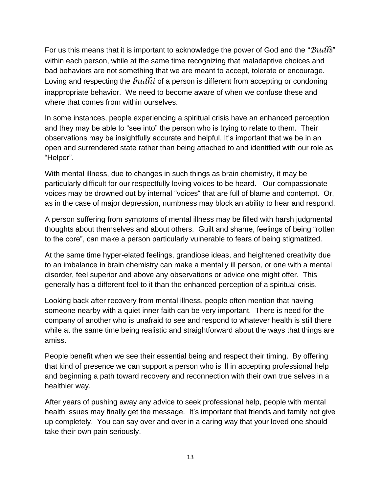For us this means that it is important to acknowledge the power of God and the "*Budh*i" within each person, while at the same time recognizing that maladaptive choices and bad behaviors are not something that we are meant to accept, tolerate or encourage. Loving and respecting the *budhi* of a person is different from accepting or condoning inappropriate behavior. We need to become aware of when we confuse these and where that comes from within ourselves.

In some instances, people experiencing a spiritual crisis have an enhanced perception and they may be able to "see into" the person who is trying to relate to them. Their observations may be insightfully accurate and helpful. It's important that we be in an open and surrendered state rather than being attached to and identified with our role as "Helper".

With mental illness, due to changes in such things as brain chemistry, it may be particularly difficult for our respectfully loving voices to be heard. Our compassionate voices may be drowned out by internal "voices" that are full of blame and contempt. Or, as in the case of major depression, numbness may block an ability to hear and respond.

A person suffering from symptoms of mental illness may be filled with harsh judgmental thoughts about themselves and about others. Guilt and shame, feelings of being "rotten to the core", can make a person particularly vulnerable to fears of being stigmatized.

At the same time hyper-elated feelings, grandiose ideas, and heightened creativity due to an imbalance in brain chemistry can make a mentally ill person, or one with a mental disorder, feel superior and above any observations or advice one might offer. This generally has a different feel to it than the enhanced perception of a spiritual crisis.

Looking back after recovery from mental illness, people often mention that having someone nearby with a quiet inner faith can be very important. There is need for the company of another who is unafraid to see and respond to whatever health is still there while at the same time being realistic and straightforward about the ways that things are amiss.

People benefit when we see their essential being and respect their timing. By offering that kind of presence we can support a person who is ill in accepting professional help and beginning a path toward recovery and reconnection with their own true selves in a healthier way.

After years of pushing away any advice to seek professional help, people with mental health issues may finally get the message. It's important that friends and family not give up completely. You can say over and over in a caring way that your loved one should take their own pain seriously.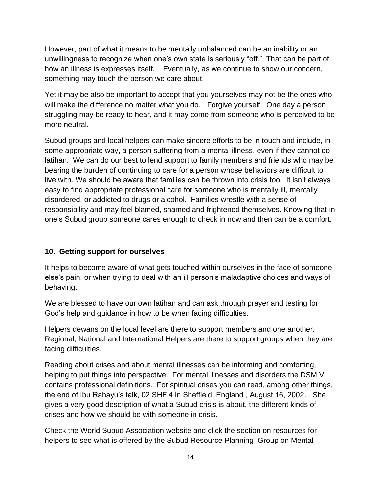However, part of what it means to be mentally unbalanced can be an inability or an unwillingness to recognize when one's own state is seriously "off." That can be part of how an illness is expresses itself. Eventually, as we continue to show our concern, something may touch the person we care about.

Yet it may be also be important to accept that you yourselves may not be the ones who will make the difference no matter what you do. Forgive yourself. One day a person struggling may be ready to hear, and it may come from someone who is perceived to be more neutral.

Subud groups and local helpers can make sincere efforts to be in touch and include, in some appropriate way, a person suffering from a mental illness, even if they cannot do latihan. We can do our best to lend support to family members and friends who may be bearing the burden of continuing to care for a person whose behaviors are difficult to live with. We should be aware that families can be thrown into crisis too. It isn't always easy to find appropriate professional care for someone who is mentally ill, mentally disordered, or addicted to drugs or alcohol. Families wrestle with a sense of responsibility and may feel blamed, shamed and frightened themselves. Knowing that in one's Subud group someone cares enough to check in now and then can be a comfort.

#### **10. Getting support for ourselves**

It helps to become aware of what gets touched within ourselves in the face of someone else's pain, or when trying to deal with an ill person's maladaptive choices and ways of behaving.

We are blessed to have our own latihan and can ask through prayer and testing for God's help and guidance in how to be when facing difficulties.

Helpers dewans on the local level are there to support members and one another. Regional, National and International Helpers are there to support groups when they are facing difficulties.

Reading about crises and about mental illnesses can be informing and comforting, helping to put things into perspective. For mental illnesses and disorders the DSM V contains professional definitions. For spiritual crises you can read, among other things, the end of Ibu Rahayu's talk, 02 SHF 4 in Sheffield, England , August 16, 2002. She gives a very good description of what a Subud crisis is about, the different kinds of crises and how we should be with someone in crisis.

Check the World Subud Association website and click the section on resources for helpers to see what is offered by the Subud Resource Planning Group on Mental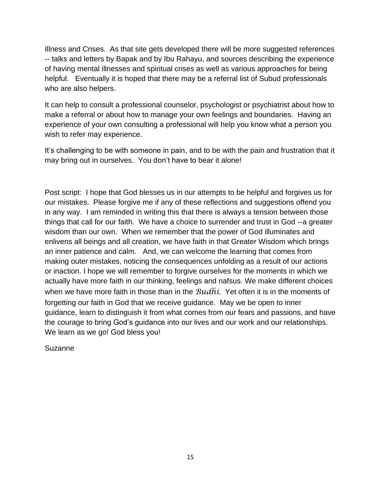Illness and Crises. As that site gets developed there will be more suggested references -- talks and letters by Bapak and by Ibu Rahayu, and sources describing the experience of having mental illnesses and spiritual crises as well as various approaches for being helpful. Eventually it is hoped that there may be a referral list of Subud professionals who are also helpers.

It can help to consult a professional counselor, psychologist or psychiatrist about how to make a referral or about how to manage your own feelings and boundaries. Having an experience of your own consulting a professional will help you know what a person you wish to refer may experience.

It's challenging to be with someone in pain, and to be with the pain and frustration that it may bring out in ourselves. You don't have to bear it alone!

Post script: I hope that God blesses us in our attempts to be helpful and forgives us for our mistakes. Please forgive me if any of these reflections and suggestions offend you in any way. I am reminded in writing this that there is always a tension between those things that call for our faith. We have a choice to surrender and trust in God --a greater wisdom than our own. When we remember that the power of God illuminates and enlivens all beings and all creation, we have faith in that Greater Wisdom which brings an inner patience and calm. And, we can welcome the learning that comes from making outer mistakes, noticing the consequences unfolding as a result of our actions or inaction. I hope we will remember to forgive ourselves for the moments in which we actually have more faith in our thinking, feelings and nafsus. We make different choices when we have more faith in those than in the *Budhi*. Yet often it is in the moments of forgetting our faith in God that we receive guidance. May we be open to inner guidance, learn to distinguish it from what comes from our fears and passions, and have the courage to bring God's guidance into our lives and our work and our relationships. We learn as we go! God bless you!

Suzanne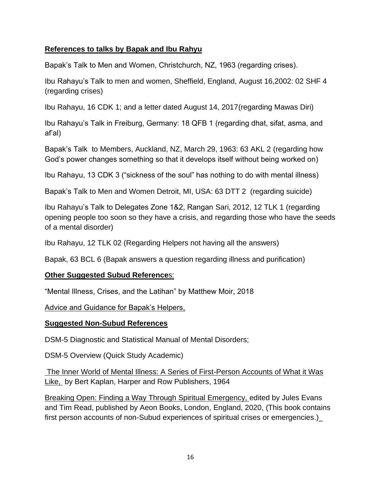#### **References to talks by Bapak and Ibu Rahyu**

Bapak's Talk to Men and Women, Christchurch, NZ, 1963 (regarding crises).

Ibu Rahayu's Talk to men and women, Sheffield, England, August 16,2002: 02 SHF 4 (regarding crises)

Ibu Rahayu, 16 CDK 1; and a letter dated August 14, 2017(regarding Mawas Diri)

Ibu Rahayu's Talk in Freiburg, Germany: 18 QFB 1 (regarding dhat, sifat, asma, and af'al)

Bapak's Talk to Members, Auckland, NZ, March 29, 1963: 63 AKL 2 (regarding how God's power changes something so that it develops itself without being worked on)

Ibu Rahayu, 13 CDK 3 ("sickness of the soul" has nothing to do with mental illness)

Bapak's Talk to Men and Women Detroit, MI, USA: 63 DTT 2 (regarding suicide)

Ibu Rahayu's Talk to Delegates Zone 1&2, Rangan Sari, 2012, 12 TLK 1 (regarding opening people too soon so they have a crisis, and regarding those who have the seeds of a mental disorder)

Ibu Rahayu, 12 TLK 02 (Regarding Helpers not having all the answers)

Bapak, 63 BCL 6 (Bapak answers a question regarding illness and purification)

#### **Other Suggested Subud Reference**s:

"Mental Illness, Crises, and the Latihan" by Matthew Moir, 2018

Advice and Guidance for Bapak's Helpers,

#### **Suggested Non-Subud References**

DSM-5 Diagnostic and Statistical Manual of Mental Disorders;

DSM-5 Overview (Quick Study Academic)

The Inner World of Mental Illness: A Series of First-Person Accounts of What it Was Like, by Bert Kaplan, Harper and Row Publishers, 1964

Breaking Open: Finding a Way Through Spiritual Emergency, edited by Jules Evans and Tim Read, published by Aeon Books, London, England, 2020, (This book contains first person accounts of non-Subud experiences of spiritual crises or emergencies.)\_